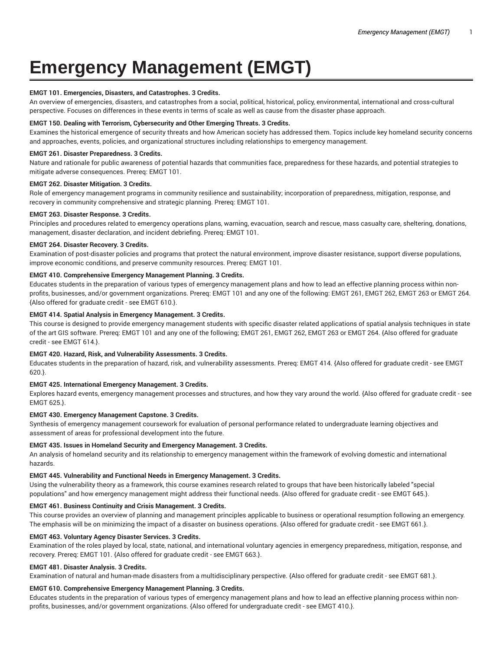# **Emergency Management (EMGT)**

#### **EMGT 101. Emergencies, Disasters, and Catastrophes. 3 Credits.**

An overview of emergencies, disasters, and catastrophes from a social, political, historical, policy, environmental, international and cross-cultural perspective. Focuses on differences in these events in terms of scale as well as cause from the disaster phase approach.

#### **EMGT 150. Dealing with Terrorism, Cybersecurity and Other Emerging Threats. 3 Credits.**

Examines the historical emergence of security threats and how American society has addressed them. Topics include key homeland security concerns and approaches, events, policies, and organizational structures including relationships to emergency management.

#### **EMGT 261. Disaster Preparedness. 3 Credits.**

Nature and rationale for public awareness of potential hazards that communities face, preparedness for these hazards, and potential strategies to mitigate adverse consequences. Prereq: EMGT 101.

#### **EMGT 262. Disaster Mitigation. 3 Credits.**

Role of emergency management programs in community resilience and sustainability; incorporation of preparedness, mitigation, response, and recovery in community comprehensive and strategic planning. Prereq: EMGT 101.

#### **EMGT 263. Disaster Response. 3 Credits.**

Principles and procedures related to emergency operations plans, warning, evacuation, search and rescue, mass casualty care, sheltering, donations, management, disaster declaration, and incident debriefing. Prereq: EMGT 101.

## **EMGT 264. Disaster Recovery. 3 Credits.**

Examination of post-disaster policies and programs that protect the natural environment, improve disaster resistance, support diverse populations, improve economic conditions, and preserve community resources. Prereq: EMGT 101.

## **EMGT 410. Comprehensive Emergency Management Planning. 3 Credits.**

Educates students in the preparation of various types of emergency management plans and how to lead an effective planning process within nonprofits, businesses, and/or government organizations. Prereq: EMGT 101 and any one of the following: EMGT 261, EMGT 262, EMGT 263 or EMGT 264. {Also offered for graduate credit - see EMGT 610.}.

## **EMGT 414. Spatial Analysis in Emergency Management. 3 Credits.**

This course is designed to provide emergency management students with specific disaster related applications of spatial analysis techniques in state of the art GIS software. Prereq: EMGT 101 and any one of the following; EMGT 261, EMGT 262, EMGT 263 or EMGT 264. {Also offered for graduate credit - see EMGT 614.}.

#### **EMGT 420. Hazard, Risk, and Vulnerability Assessments. 3 Credits.**

Educates students in the preparation of hazard, risk, and vulnerability assessments. Prereq: EMGT 414. {Also offered for graduate credit - see EMGT 620.}.

# **EMGT 425. International Emergency Management. 3 Credits.**

Explores hazard events, emergency management processes and structures, and how they vary around the world. {Also offered for graduate credit - see EMGT 625.}.

# **EMGT 430. Emergency Management Capstone. 3 Credits.**

Synthesis of emergency management coursework for evaluation of personal performance related to undergraduate learning objectives and assessment of areas for professional development into the future.

# **EMGT 435. Issues in Homeland Security and Emergency Management. 3 Credits.**

An analysis of homeland security and its relationship to emergency management within the framework of evolving domestic and international hazards.

#### **EMGT 445. Vulnerability and Functional Needs in Emergency Management. 3 Credits.**

Using the vulnerability theory as a framework, this course examines research related to groups that have been historically labeled "special populations" and how emergency management might address their functional needs. {Also offered for graduate credit - see EMGT 645.}.

### **EMGT 461. Business Continuity and Crisis Management. 3 Credits.**

This course provides an overview of planning and management principles applicable to business or operational resumption following an emergency. The emphasis will be on minimizing the impact of a disaster on business operations. {Also offered for graduate credit - see EMGT 661.}.

### **EMGT 463. Voluntary Agency Disaster Services. 3 Credits.**

Examination of the roles played by local, state, national, and international voluntary agencies in emergency preparedness, mitigation, response, and recovery. Prereq: EMGT 101. {Also offered for graduate credit - see EMGT 663.}.

#### **EMGT 481. Disaster Analysis. 3 Credits.**

Examination of natural and human-made disasters from a multidisciplinary perspective. {Also offered for graduate credit - see EMGT 681.}.

### **EMGT 610. Comprehensive Emergency Management Planning. 3 Credits.**

Educates students in the preparation of various types of emergency management plans and how to lead an effective planning process within nonprofits, businesses, and/or government organizations. {Also offered for undergraduate credit - see EMGT 410.}.